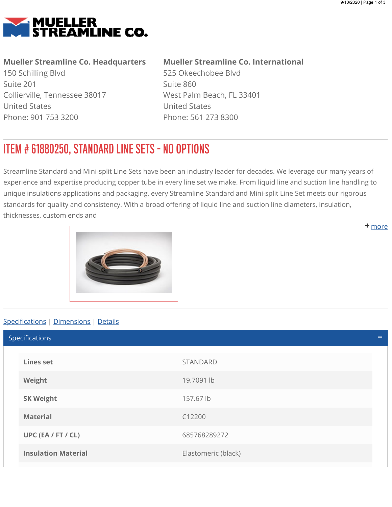<span id="page-0-0"></span>

## Mueller Streamline Co. Headquarters

150 Schilling Blvd Suite 201 Collierville, Tennessee 38017 United States Phone: 901 753 3200

## Mueller Streamline Co. International

525 Okeechobee Blvd Suite 860 West Palm Beach, FL 33401 United States Phone: 561 273 8300

## ITEM # 61880250, STANDARD LINE SETS - NO OPTIONS

Streamline Standard and Mini-split Line Sets have been an industry leader for decades. We leverage our many years of experience and expertise producing copper tube in every line set we make. From liquid line and suction line handling to unique insulations applications and packaging, every Streamline Standard and Mini-split Line Set meets our rigorous standards for quality and consistency. With a broad offering of liquid line and suction line diameters, insulation, thicknesses, custom ends and

<span id="page-0-1"></span>

## Specifications | [Dimensions](#page-1-0) | [Details](#page-1-1)

Lines set STANDARD Weight 19.7091 lb SK Weight 157.67 lb Material C12200 UPC (EA / FT / CL) 685768289272 **Insulation Material Elastomeric (black)** Specifications

**+** [m](#page-0-0)ore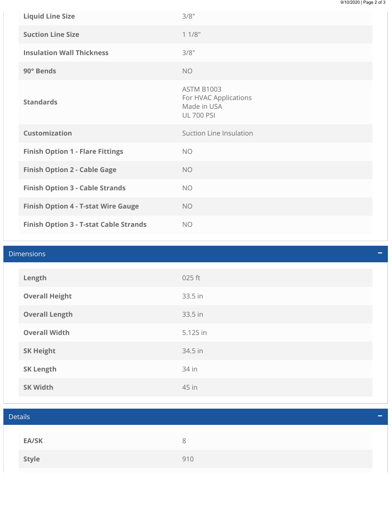| <b>Liquid Line Size</b>                       | 3/8"                                                                           |
|-----------------------------------------------|--------------------------------------------------------------------------------|
| <b>Suction Line Size</b>                      | 11/8"                                                                          |
| <b>Insulation Wall Thickness</b>              | 3/8"                                                                           |
| 90° Bends                                     | <b>NO</b>                                                                      |
| <b>Standards</b>                              | <b>ASTM B1003</b><br>For HVAC Applications<br>Made in USA<br><b>UL 700 PSI</b> |
| <b>Customization</b>                          | Suction Line Insulation                                                        |
| <b>Finish Option 1 - Flare Fittings</b>       | <b>NO</b>                                                                      |
| <b>Finish Option 2 - Cable Gage</b>           | <b>NO</b>                                                                      |
| <b>Finish Option 3 - Cable Strands</b>        | <b>NO</b>                                                                      |
| <b>Finish Option 4 - T-stat Wire Gauge</b>    | <b>NO</b>                                                                      |
| <b>Finish Option 3 - T-stat Cable Strands</b> | <b>NO</b>                                                                      |

<span id="page-1-1"></span><span id="page-1-0"></span>

| <b>Dimensions</b><br>- |                       |          |  |
|------------------------|-----------------------|----------|--|
|                        | Length                | 025 ft   |  |
|                        | <b>Overall Height</b> | 33.5 in  |  |
|                        | <b>Overall Length</b> | 33.5 in  |  |
|                        | <b>Overall Width</b>  | 5.125 in |  |
|                        | <b>SK Height</b>      | 34.5 in  |  |
|                        | <b>SK Length</b>      | 34 in    |  |
|                        | <b>SK Width</b>       | 45 in    |  |

| <b>Details</b> | -   |  |  |  |  |
|----------------|-----|--|--|--|--|
|                |     |  |  |  |  |
| EA/SK          | 8   |  |  |  |  |
| Style          | 910 |  |  |  |  |